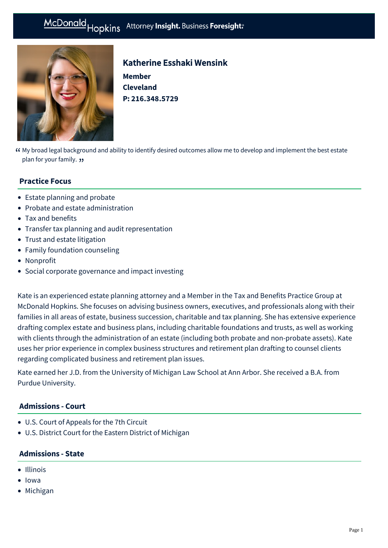# McDonald Hopkins Attorney Insight. Business Foresight:



# Katherine Esshaki Wensink

**Member Cleveland P: [216.348.5729](tel:216.348.5729)**

My broad legal background and ability to identify desired outcomes allow me to develop and implement the best estate " plan for your family. <del>y</del><br>

## **Practice Focus**

- [Estate planning and probate](https://mcdonaldhopkins.com/Expertise/Estate-planning-and-probate)
- [Probate and estate administration](https://mcdonaldhopkins.com/Expertise/Estate-planning-and-probate/Probate-and-estate-administration)
- [Tax and benefits](https://mcdonaldhopkins.com/Expertise/Tax-and-benefits)
- [Transfer tax planning and audit representation](https://mcdonaldhopkins.com/Expertise/Estate-planning-and-probate/Transfer-tax-planning-and-audit-representation)
- [Trust and estate litigation](https://mcdonaldhopkins.com/Expertise/Estate-planning-and-probate/Trust-and-estate-litigation)
- [Family foundation counseling](https://mcdonaldhopkins.com/Expertise/Estate-planning-and-probate/Family-foundation-counseling)
- [Nonprofit](https://mcdonaldhopkins.com/Expertise/Industries/Nonprofit)
- [Social corporate governance and impact investing](https://mcdonaldhopkins.com/Expertise/Business-counseling/Social-Corporate-Governance-and-Impact-Investing)

Kate is an experienced estate planning attorney and a Member in the Tax and Benefits Practice Group at McDonald Hopkins. She focuses on advising business owners, executives, and professionals along with their families in all areas of estate, business succession, charitable and tax planning. She has extensive experience drafting complex estate and business plans, including charitable foundations and trusts, as well as working with clients through the administration of an estate (including both probate and non-probate assets). Kate uses her prior experience in complex business structures and retirement plan drafting to counsel clients regarding complicated business and retirement plan issues.

Kate earned her J.D. from the University of Michigan Law School at Ann Arbor. She received a B.A. from Purdue University.

#### **Admissions - Court**

- U.S. Court of Appeals for the 7th Circuit
- U.S. District Court for the Eastern District of Michigan

#### **Admissions - State**

- Illinois
- Iowa
- Michigan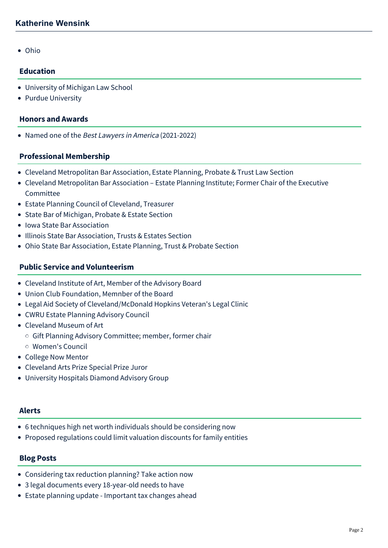• Ohio

#### **Education**

- University of Michigan Law School
- Purdue University

#### **Honors and Awards**

• Named one of the Best Lawyers in America (2021-2022)

#### **Professional Membership**

- Cleveland Metropolitan Bar Association, Estate Planning, Probate & Trust Law Section
- Cleveland Metropolitan Bar Association Estate Planning Institute; Former Chair of the Executive Committee
- Estate Planning Council of Cleveland, Treasurer
- State Bar of Michigan, Probate & Estate Section
- Iowa State Bar Association
- Illinois State Bar Association, Trusts & Estates Section
- Ohio State Bar Association, Estate Planning, Trust & Probate Section

#### **Public Service and Volunteerism**

- Cleveland Institute of Art, Member of the Advisory Board
- Union Club Foundation, Memnber of the Board
- Legal Aid Society of Cleveland/McDonald Hopkins Veteran's Legal Clinic
- CWRU Estate Planning Advisory Council
- Cleveland Museum of Art
	- o Gift Planning Advisory Committee; member, former chair
	- Women's Council
- College Now Mentor
- Cleveland Arts Prize Special Prize Juror
- University Hospitals Diamond Advisory Group

#### **Alerts**

- [6 techniques high net worth individuals should be considering now](https://mcdonaldhopkins.com/Insights/April-2020/6-techniques-high-net-worth-individuals-should-be)
- [Proposed regulations could limit valuation discounts for family entities](https://mcdonaldhopkins.com/Insights/August-2016/Proposed-regulations-could-limit-valuation-discoun)

#### **Blog Posts**

- [Considering tax reduction planning? Take action now](https://mcdonaldhopkins.com/Insights/September-2021/Considering-tax-reduction-planning-Take-action-now)
- [3 legal documents every 18-year-old needs to have](https://mcdonaldhopkins.com/Insights/August-2021/3-legal-documents-every-18-year-old-needs-to-have)
- [Estate planning update Important tax changes ahead](https://mcdonaldhopkins.com/Insights/April-2021/Estate-planning-update-Important-tax-changes-ahead)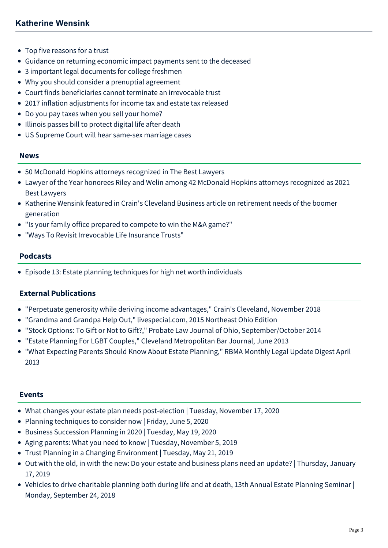- [Top five reasons for a trust](https://mcdonaldhopkins.com/Insights/October-2020/Top-five-reasons-for-a-trust)
- [Guidance on returning economic impact payments sent to the deceased](https://mcdonaldhopkins.com/Insights/May-2020/Guidance-on-returning-economic-impact-payments-sen)
- [3 important legal documents for college freshmen](https://mcdonaldhopkins.com/Insights/August-2019/3-important-legal-documents-for-college-freshman)
- [Why you should consider a prenuptial agreement](https://mcdonaldhopkins.com/Insights/January-2019/Why-you-should-consider-a-prenuptial-agreement)
- [Court finds beneficiaries cannot terminate an irrevocable trust](https://mcdonaldhopkins.com/Insights/June-2018/Court-finds-beneficiaries-cannot-terminate-an-irre)
- [2017 inflation adjustments for income tax and estate tax released](https://mcdonaldhopkins.com/Insights/December-2016/2017-inflation-adjustments-for-income-tax-and-esta)
- [Do you pay taxes when you sell your home?](https://mcdonaldhopkins.com/Insights/July-2016/Do-you-pay-taxes-when-you-sell-your-home)
- [Illinois passes bill to protect digital life after death](https://mcdonaldhopkins.com/Insights/July-2016/Illinois-passes-bill-to-protect-digital-life-after)
- [US Supreme Court will hear same-sex marriage cases](https://mcdonaldhopkins.com/Insights/January-2015/US-Supreme-Court-will-hear-same-sex-marriage-cases)

#### **News**

- [50 McDonald Hopkins attorneys recognized in The Best Lawyers](https://mcdonaldhopkins.com/Insights/August-2021/50-McDonald-Hopkins-attorneys-recognized-in-The-Be)
- [Lawyer of the Year honorees Riley and Welin among 42 McDonald Hopkins attorneys recognized as 2021](https://mcdonaldhopkins.com/Insights/August-2020/Lawyer-of-the-Year-honorees-Riley-and-Welin-among) Best Lawyers
- [Katherine Wensink featured in Crain's Cleveland Business article on retirement needs of the boomer](https://mcdonaldhopkins.com/Insights/January-2020/Katherine-Wensink-featured-in-Crain-s-Cleveland-Bu) generation
- ["Is your family office prepared to compete to win the M&A game?"](https://mcdonaldhopkins.com/Insights/January-2020/Is-your-family-office-prepared-to-compete-to-win-t)
- ["Ways To Revisit Irrevocable Life Insurance Trusts"](https://mcdonaldhopkins.com/Insights/July-2019/Ways-To-Revisit-Irrevocable-Life-Insurance-Trusts)

#### **Podcasts**

[Episode 13: Estate planning techniques for high net worth individuals](https://mcdonaldhopkins.com/Insights/May-2018/Episode-13-Estate-planning-techniques-for-high-net)

#### **External Publications**

- "Perpetuate generosity while deriving income advantages," Crain's Cleveland, November 2018
- "[Grandma and Grandpa Help Out](http://issuu.com/northeastohioparent/docs/livespecial__1_)," livespecial.com, 2015 Northeast Ohio Edition
- "Stock Options: To Gift or Not to Gift?," Probate Law Journal of Ohio, September/October 2014
- "[Estate Planning For LGBT Couples](http://www.clemetrobar.org/uploadedFiles/CMBA_Site_Home/News_and_Publications/CMBJ/june13_bar_journal.pdf)," Cleveland Metropolitan Bar Journal, June 2013
- "What Expecting Parents Should Know About Estate Planning," RBMA Monthly Legal Update Digest April 2013

#### **Events**

- [What changes your estate plan needs post-election | Tuesday, November 17, 2020](https://mcdonaldhopkins.com/Events/2020/What-changes-your-estate-plan-needs-post-election)
- [Planning techniques to consider now | Friday, June 5, 2020](https://mcdonaldhopkins.com/Events/2020/Planning-techniques-to-consider-now)
- [Business Succession Planning in 2020 | Tuesday, May 19, 2020](https://mcdonaldhopkins.com/Events/2020/Business-Succession-Planning-in-2020)
- [Aging parents: What you need to know | Tuesday, November 5, 2019](https://mcdonaldhopkins.com/Events/2019/Aging-parents-What-you-need-to-know)
- [Trust Planning in a Changing Environment | Tuesday, May 21, 2019](https://mcdonaldhopkins.com/Events/2019/Trust-Planning-in-a-Changing-Environment)
- [Out with the old, in with the new: Do your estate and business plans need an update? | Thursday, January](https://mcdonaldhopkins.com/Events/2019/Out-with-the-old-in-with-the-new-do-your-estate-an) 17, 2019
- [Vehicles to drive charitable planning both during life and at death, 13th Annual Estate Planning Seminar |](https://mcdonaldhopkins.com/Events/2018/Vehicles-to-drive-charitable-planning-both-during) Monday, September 24, 2018